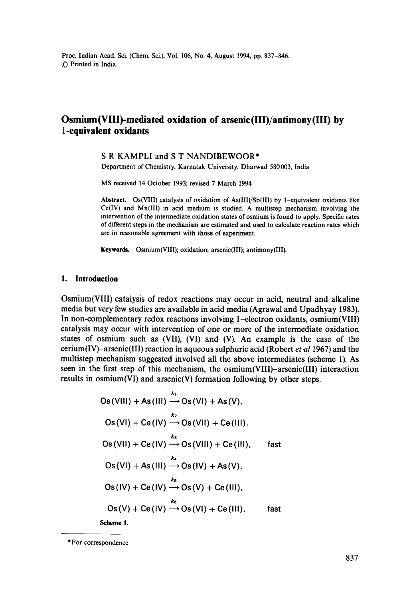# **Osmium(Vlll)-mediated oxidation of arsenic(lll)/antimony(lll) by 1-equivalent oxidants**

## **S R** KAMPLI and **S T NANDIBEWOOR\***

Department of Chemistry, Karnatak University, Dharwad 580003, India

MS received 14 October 1993; revised 7 March 1994

**Abstract.** Os(VIII) catalysis of oxidation of As(III)/Sb(III) by 1-equivalent oxidants like  $Ce(IV)$  and  $Mn(III)$  in acid medium is studied. A multistep mechanism involving the intervention of the intermediate oxidation states of osmium is found to apply. Specific rates of different steps in the mechanism are estimated and used to calculate reaction rates which are in reasonable agreement with those of experiment.

**Keywords.** Osmium(VIII); oxidation; arsenic(III); antimony(III).

## **1. Introduction**

Osmium(VIII) catalysis of redox reactions may occur in acid, neutral and alkaline media but very few studies are available in acid media (Agrawal and Upadhyay 1983). In non-complementary redox reactions involving 1-electron oxidants, osmium(VIII) catalysis may occur with intervention of one or more of the intermediate oxidation states of osmium such as (VII), (VI) and (V). An example is the case of the cerium(IV)-arsenic(III) reaction in aqueous sulphuric acid (Robert *et.al* 1967) and the multistep mechanism suggested involved all the above intermediates (scheme 1). As seen in the first step of this mechanism, the osmium(VIII)-arsenic(III) interaction results in osmium(VI) and arsenic(V) formation following by other steps.

kl Os(Vlll) +As(Ill) ---~ Os(Vl) +As(V), k2 Os(Vl) + Ce(IV) ~Os(Vll) + Ce(lll), ks Os(Vll) + Ce(IV) --\* Os(Vlll) + Ce(lll), fast k, Os(VI) +As(Ill) ---, Os(IV) +As(V), ks Os(IV) + Ce (IV) --\* Os(V) + Ce(lll), k6 Os(V) **+ Ce(IV)** ---~ Os(VI) + Ce (111), fast

**Scheme** 1.

<sup>\*</sup> For correspondence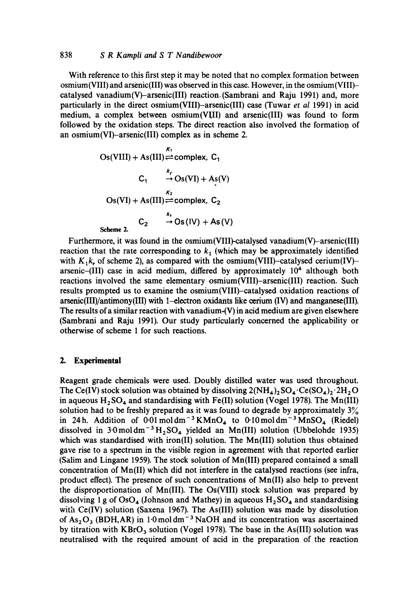## 838 *S R Karapli and S T Nandibewoor*

With reference to this first step it may be noted that no complex formation between osmium(VIII) and arsenic(Ill) was observed in this case. However, in the osmium(VIII) catalysed vanadium(V)-arsenic(III) reaction. (Sambrani and Raju 1991) and, more particularly in the direct osmium(VIII)-arsenic(III) case (Tuwar *et al* 1991) in acid medium, a complex between osmium(VIII) and arsenic(Ill) was found to form followed by the oxidation steps. The direct reaction also involved the formation of an osmium(VI)-arsenic(III) complex as in scheme 2.

Os(VIII) + As(III) ⇒ complex, C<sub>1</sub>  
\nC<sub>1</sub> → 
$$
\begin{array}{l}\n k_1 \\
\rightarrow \text{Os(VI)} + \text{As(V)} \\
\text{Os(VI)} + \text{As(III)} &\rightleftharpoons \text{complex, } C_2 \\
k_2 \\
\rightarrow \text{Os(VV)} + \text{As(V)}\n\end{array}
$$
  
\nScheme 2.

Furthermore, it was found in the osmium(VIII)-catalysed vanadium(V)-arsenic(III) reaction that the rate corresponding to  $k<sub>1</sub>$  (which may be approximately identified with  $K_1k$ , of scheme 2), as compared with the osmium(VIII)-catalysed cerium(IV)arsenic-(III) case in acid medium, differed by approximately  $10<sup>4</sup>$  although both reactions involved the same elementary osmium(VIII)-arsenic(III) reaction. Such results prompted us to examine the osmium(VIII)-catalysed oxidation reactions of arsenic(III)/antimony(III) with 1-electron oxidants like cerium (IV) and manganese(III). The results of a similar reaction with vanadium-(V) in acid medium are given elsewhere (Sambrani and Raju 1991). Our study particularly concerned the applicability or otherwise of scheme 1 for such reactions.

## **2. Experimental**

Reagent grade chemicals were used. Doubly distilled water was used throughout. The Ce(IV) stock solution was obtained by dissolving  $2(NH_4)_2SO_4 \cdot Ce(SO_4)_2 \cdot 2H_2O$ in aqueous  $H_2SO_4$  and standardising with Fe(II) solution (Vogel 1978). The Mn(III) solution had to be freshly prepared as it was found to degrade by approximately  $3\%$ in 24h. Addition of  $0.01 \text{ mol dm}^{-3}$  KMnO<sub>4</sub> to  $0.10 \text{ mol dm}^{-3}$  MnSO<sub>4</sub> (Riedel) dissolved in  $3.0 \text{ mol dm}^{-3}H_2SO_4$  yielded an Mn(III) solution (Ubbelohde 1935) which was standardised with iron(II) solution. The Mn(III) solution thus obtained gave rise to a spectrum in the visible region in agreement with that reported earlier (Salim and Lingane 1959). The stock solution of Mn(III) prepared contained a small concentration of Mn(II) which did not interfere in the catalysed reactions (see infra, product effect). The presence of such concentrations of Mn(II) also help to prevent the disproportionation of Mn(III). The Os(VIII) stock solution was prepared by dissolving 1 g of OsO<sub>4</sub> (Johnson and Mathey) in aqueous  $H_2SO_4$  and standardising with Ce(IV) solution (Saxena 1967). The As(III) solution was made by dissolution of  $As<sub>2</sub>O<sub>3</sub>$  (BDH, AR) in 1.0 mol dm<sup>-3</sup> NaOH and its concentration was ascertained by titration with  $KBrO<sub>3</sub>$  solution (Vogel 1978). The base in the As(III) solution was neutralised with the required amount of acid in the preparation of the reaction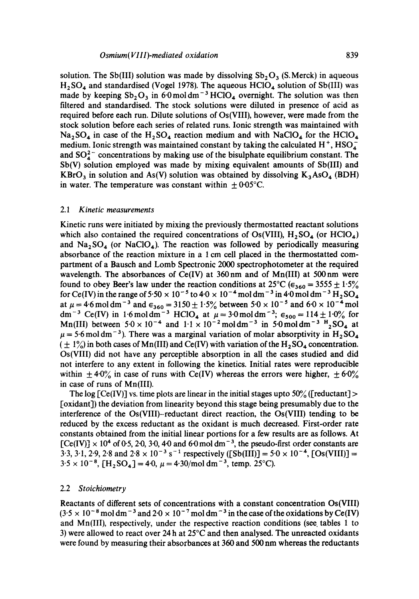solution. The Sb(III) solution was made by dissolving  $Sb<sub>2</sub>O<sub>3</sub>$  (S. Merck) in aqueous  $H<sub>2</sub>SO<sub>4</sub>$  and standardised (Vogel 1978). The aqueous  $HClO<sub>4</sub>$  solution of Sb(III) was made by keeping  $Sb_2O_3$  in 6.0 mol dm<sup>-3</sup> HClO<sub>4</sub> overnight. The solution was then filtered and standardised. The stock solutions were diluted in presence of acid as required before each run. Dilute solutions of Os(VIII), however, were made from the stock solution before each series of related runs. Ionic strength was maintained with  $Na<sub>2</sub>SO<sub>4</sub>$  in case of the  $H<sub>2</sub>SO<sub>4</sub>$  reaction medium and with NaClO<sub>4</sub> for the HClO<sub>4</sub> medium. Ionic strength was maintained constant by taking the calculated  $H^+$ ,  $HSO_4^$ and  $SO_4^{2-}$  concentrations by making use of the bisulphate equilibrium constant. The Sb(V) solution employed was made by mixing equivalent amounts of Sb(III) and  $KBrO<sub>3</sub>$  in solution and As(V) solution was obtained by dissolving  $K<sub>3</sub>AsO<sub>4</sub>$  (BDH) in water. The temperature was constant within  $\pm 0.05^{\circ}$ C.

#### *2.1 Kinetic measurements*

Kinetic runs were initiated by mixing the previously thermostatted reactant solutions which also contained the required concentrations of  $Os(VIII)$ ,  $H_2SO_4$  (or  $HClO<sub>4</sub>$ ) and  $\text{Na}_2\text{SO}_4$  (or  $\text{NaClO}_4$ ). The reaction was followed by periodically measuring absorbance of the reaction mixture in a 1 cm cell placed in the thermostatted compartment of a Bausch and Lomb Spectronic 2000 spectrophotometer at the required wavelength. The absorbances of Ce(IV) at 360 nm and of Mn(III) at 500 nm were found to obey Beer's law under the reaction conditions at 25<sup>o</sup>C ( $\epsilon_{360} = 3555 \pm 1.5\%$ ) for Ce(IV) in the range of 5.50  $\times$  10<sup>-5</sup> to 4.0  $\times$  10<sup>-4</sup> mol dm<sup>-3</sup> in 4.0 mol dm<sup>-3</sup> H<sub>2</sub>SO<sub>4</sub> at  $\mu = 4.6$  mol dm<sup>-3</sup> and  $\epsilon_{360} = 3150 \pm 1.5\%$  between  $5.0 \times 10^{-5}$  and  $6.0 \times 10^{-4}$  mol dm<sup>-3</sup> Ce(IV) in 1.6 moldm<sup>-3</sup> HClO<sub>4</sub> at  $\mu = 3.0$  moldm<sup>-3</sup>;  $\epsilon_{500} = 114 \pm 1.0\%$  for Mn(III) between  $5.0 \times 10^{-4}$  and  $1.1 \times 10^{-2}$  moldm<sup>-3</sup> in 5.0 moldm<sup>-3</sup>  $H_2$ SO<sub>4</sub> at  $\mu$  = 5.6 mol dm<sup>-3</sup>). There was a marginal variation of molar absorptivity in H<sub>2</sub> SO<sub>4</sub>  $(\pm 1\%)$  in both cases of Mn(III) and Ce(IV) with variation of the H<sub>2</sub> SO<sub>4</sub> concentration. Os(VIII) did not have any perceptible absorption in all the cases studied and did not interfere to any extent in following the kinetics. Initial rates were reproducible within  $\pm 4.0\%$  in case of runs with Ce(IV) whereas the errors were higher,  $\pm 6.0\%$ in case of runs of Mn(III).

The log [Ce(IV)] vs. time plots are linear in the initial stages upto 50% ([reductant] > [oxidant]) the deviation from linearity beyond this stage being presumably due to the interference of the Os(VIII)-reductant direct reaction, the Os(VIII) tending to be reduced by the excess reductant as the oxidant is much decreased. First-order rate constants obtained from the initial linear portions for a few results are as follows. At  $[Ce(IV)] \times 10^4$  of 0.5, 2.0, 3.0, 4.0 and 6.0 mol dm<sup>-3</sup>, the pseudo-first order constants are  $3.3, 3.1, 2.9, 2.8$  and  $2.8 \times 10^{-3}$  s<sup>-1</sup> respectively ([Sb(III)] =  $5.0 \times 10^{-4}$ , [Os(VIII)] =  $3.5 \times 10^{-8}$ , [H<sub>2</sub>SO<sub>4</sub>] = 4.0,  $\mu$  = 4.30/mol dm<sup>-3</sup>, temp. 25°C).

## 2.2 *Stoichiometry*

Reactants of different sets of concentrations with a constant concentration Os(VIII)  $(3.5 \times 10^{-8} \text{ mol dm}^{-3}$  and  $2.0 \times 10^{-7} \text{ mol dm}^{-3}$  in the case of the oxidations by Ce(IV) and Mn(III), respectively, under the respective reaction conditions (see. tables 1 to 3) were allowed to react over 24 h at  $25^{\circ}$ C and then analysed. The unreacted oxidants were found by measuring their absorbances at 360 and 500 nm whereas the reductants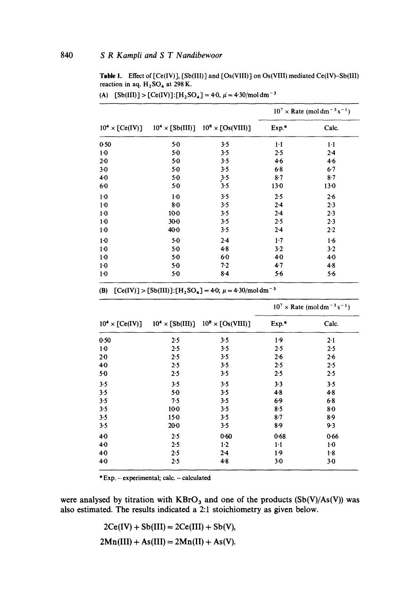Table 1. Effect of [Ce(IV)], [Sb(III)] and [Os(VIII)] on Os(VIII) mediated Ce(IV)-Sb(III) reaction in aq.  $H_2SO_4$  at 298 K.

|                        |         | $10^4 \times [Sb(III)]$ $10^8 \times [Os(VIII)]$ | $10^7 \times$ Rate (moldm <sup>-3</sup> s <sup>-1</sup> ) |          |
|------------------------|---------|--------------------------------------------------|-----------------------------------------------------------|----------|
| $10^4 \times [Ce(IV)]$ |         |                                                  | Exp.*                                                     | Calc.    |
| 0.50                   | $5-0$   | 3.5                                              | $1-1$                                                     | $1-1$    |
| $1-0$                  | $5-0$   | 3.5                                              | 2.5                                                       | 2.4      |
| $2-0$                  | $5 - 0$ | 3.5                                              | $4 - 6$                                                   | 4.6      |
| $3-0$                  | $5-0$   | 3.5                                              | 6.8                                                       | 6.7      |
| $4-0$                  | $5-0$   | 3.5                                              | $8-7$                                                     | $8-7$    |
| 60                     | $5-0$   | 3.5                                              | $13 - 0$                                                  | $13 - 0$ |
| $1-0$                  | $1-0$   | 3.5                                              | 2.5                                                       | 2.6      |
| 1 <sub>0</sub>         | $8-0$   | 3.5                                              | 2.4                                                       | 2.3      |
| $1-0$                  | $10-0$  | 3.5                                              | 2.4                                                       | 2.3      |
| $1-0$                  | $30-0$  | 3.5                                              | 2.5                                                       | 2.3      |
| $1-0$                  | 40.0    | 3.5                                              | $2 - 4$                                                   | $2 - 2$  |
| 1 <sub>0</sub>         | 5.0     | 2.4                                              | 1.7                                                       | 1.6      |
| $1-0$                  | $5-0$   | $4-8$                                            | $3-2$                                                     | 3.2      |
| $1-0$                  | $5-0$   | 60                                               | $4-0$                                                     | 4.0      |
| 1 <sub>0</sub>         | $5-0$   | 7.2                                              | 4.7                                                       | 4.8      |
| $1-0$                  | 5.0     | $8-4$                                            | $5-6$                                                     | 5.6      |
|                        |         |                                                  |                                                           |          |

(A)  $[Sb(III)] > [Ce(IV)]:[H<sub>2</sub>SO<sub>4</sub>] = 4.0, \mu = 4.30/mol dm<sup>-3</sup>$ 

(B)  $[Ce(IV)] > [Sb(III)]:[H<sub>2</sub>SO<sub>4</sub>]=4.0; \mu = 4.30/mol dm<sup>-3</sup>$ 

|                        |        | $10^4 \times [Sb(III)]$ $10^8 \times [Os(VIII)]$ | $10^7 \times$ Rate (mol dm <sup>-3</sup> s <sup>-1</sup> ) |       |
|------------------------|--------|--------------------------------------------------|------------------------------------------------------------|-------|
| $10^4 \times [Ce(IV)]$ |        |                                                  | Exp.*                                                      | Calc. |
| 0.50                   | 2.5    | 3.5                                              | 1.9                                                        | 2.1   |
| 1·0                    | 2.5    | 3.5                                              | 2.5                                                        | 2.5   |
| $2-0$                  | 2.5    | 3.5                                              | 2.6                                                        | 2.6   |
| 4.0                    | 2.5    | 3.5                                              | 2.5                                                        | 2.5   |
| $5-0$                  | 2.5    | 3.5                                              | 2.5                                                        | 2.5   |
| 3.5                    | 3.5    | 3.5                                              | 3.3                                                        | 3.5   |
| 3.5                    | $5-0$  | 3.5                                              | $4 - 8$                                                    | 4.8   |
| 3.5                    | 7.5    | 3.5                                              | 6.9                                                        | 6.8   |
| 3.5                    | $10-0$ | 3.5                                              | 8.5                                                        | $8-0$ |
| 3.5                    | 150    | 3.5                                              | $8-7$                                                      | 8.9   |
| 3.5                    | $20-0$ | 3.5                                              | 8.9                                                        | 9.3   |
| 40                     | 2.5    | 0.60                                             | 0.68                                                       | 0.66  |
| $4 - 0$                | 2.5    | $1-2$                                            | $1-1$                                                      | $1-0$ |
| $4-0$                  | 2.5    | 2.4                                              | 1.9                                                        | 1.8   |
| 4.0                    | 2.5    | 4.8                                              | $3-0$                                                      | 3.0   |

\* Exp. - experimental; calc. - calculated

were analysed by titration with  $KBrO<sub>3</sub>$  and one of the products  $(Sb(V)/As(V))$  was also estimated. The results indicated a 2:1 stoichiometry as given below.

$$
2Ce(IV) + Sb(III) = 2Ce(III) + Sb(V),
$$

 $2Mn(III) + As(III) = 2Mn(II) + As(V).$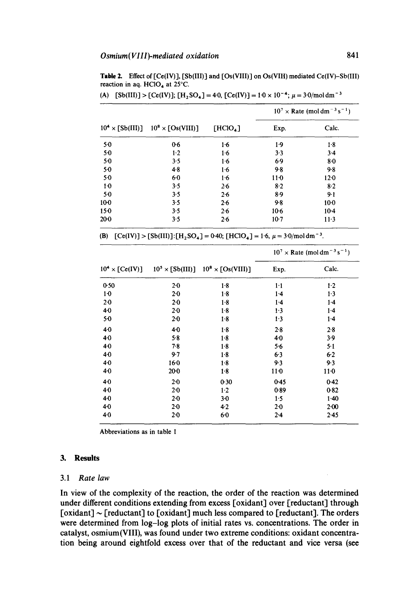Table 2. Effect of  $[Ce(IV)]$ ,  $[Sb(III)]$  and  $[Os(VIII)]$  on  $Os(VIII)$  mediated  $Ce(IV)-Sb(III)$ reaction in aq. HClO<sub>4</sub> at 25°C.

|          | $10^4 \times [Sb(III)]$ $10^8 \times [Os(VIII)]$ | $[HCIO_4]$ | $10^7 \times$ Rate (mol dm <sup>-3</sup> s <sup>-1</sup> ) |         |
|----------|--------------------------------------------------|------------|------------------------------------------------------------|---------|
|          |                                                  |            | Exp.                                                       | Calc.   |
| 50       | 0.6                                              | $1-6$      | 1.9                                                        | 1.8     |
| $5-0$    | 1.2                                              | $1-6$      | 3.3                                                        | $3-4$   |
| $5-0$    | 3.5                                              | 1.6        | 6.9                                                        | $8-0$   |
| $5-0$    | 4.8                                              | 1.6        | 9.8                                                        | $9 - 8$ |
| 50       | $6-0$                                            | 1.6        | $11-0$                                                     | 12.0    |
| $1-0$    | 3.5                                              | 2.6        | $8-2$                                                      | 8.2     |
| $5-0$    | 3.5                                              | $2-6$      | 8.9                                                        | 9.1     |
| $10-0$   | 3.5                                              | 2.6        | 9.8                                                        | $10-0$  |
| $15-0$   | 3.5                                              | 2.6        | $10-6$                                                     | $10-4$  |
| $20 - 0$ | 3.5                                              | 2.6        | $10-7$                                                     | $11-3$  |

(A)  $[Sb(III)] > [Ce(IV)]; [H<sub>2</sub>SO<sub>4</sub>] = 4.0, [Ce(IV)] = 1.0 \times 10^{-4}; \mu = 3.0/mol dm^{-3}$ 

(B)  $[Ce(IV)] > [Sb(III)]$ : $[H_2SO_4] = 0.40$ ;  $[HClO_4] = 1.6$ ,  $\mu = 3.0$ /mol dm<sup>-3</sup>.

|                        |                | $10^5 \times [Sb(III)]$ $10^8 \times [Os(VIII)]$ | $10^7 \times$ Rate (mol dm <sup>-3</sup> s <sup>-1</sup> ) |          |
|------------------------|----------------|--------------------------------------------------|------------------------------------------------------------|----------|
| $10^4 \times [Ce(IV)]$ |                |                                                  | Exp.                                                       | Calc.    |
| 0.50                   | $2-0$          | $1-8$                                            | 1.1                                                        | $1-2$    |
| $1-0$                  | $2 - 0$        | 1.8                                              | 1.4                                                        | 1.3      |
| 2 <sub>0</sub>         | $2 - 0$        | $1-8$                                            | 1.4                                                        | $1-4$    |
| 40                     | $2 - 0$        | 1.8                                              | $1-3$                                                      | $1-4$    |
| $5-0$                  | $2-0$          | 1.8                                              | 1.3                                                        | 1.4      |
| 40                     | 4 <sub>0</sub> | $1-8$                                            | 2.8                                                        | 2.8      |
| 4.0                    | 5.8            | 1.8                                              | 40                                                         | 3.9      |
| 40                     | 7.8            | $1-8$                                            | 5.6                                                        | $5-1$    |
| $4-0$                  | 9.7            | 1.8                                              | $6-3$                                                      | 6.2      |
| 4.0                    | $16-0$         | 1.8                                              | 9.3                                                        | 9.3      |
| 40                     | 20-0           | 1.8                                              | 11 <sub>0</sub>                                            | $11-0$   |
| 40                     | $2-0$          | 0.30                                             | $0-45$                                                     | 0.42     |
| 4.0                    | $2-0$          | $1-2$                                            | 0.89                                                       | 0.82     |
| 40                     | $2-0$          | $3-0$                                            | 1.5                                                        | 1.40     |
| $4-0$                  | $2-0$          | $4-2$                                            | 2 <sub>0</sub>                                             | $2 - 00$ |
| 40                     | $2 - 0$        | 6.0                                              | $2 - 4$                                                    | $2 - 45$ |

**Abbreviations as in table** 1

#### **3. Results**

### **3.1** *Rate law*

**In view of the complexity of the reaction, the order of the reaction was determined under different conditions extending from excess [oxidant] over [reductant] through [oxidant] ~ [reductant] to [oxidant] much less compared to [reductant]. The orders were determined from log-log plots of initial rates vs. concentrations. The order in catalyst, osmium(VIII), was found under two extreme conditions: oxidant concentration being around eightfold excess over that of the reductant and vice versa (see**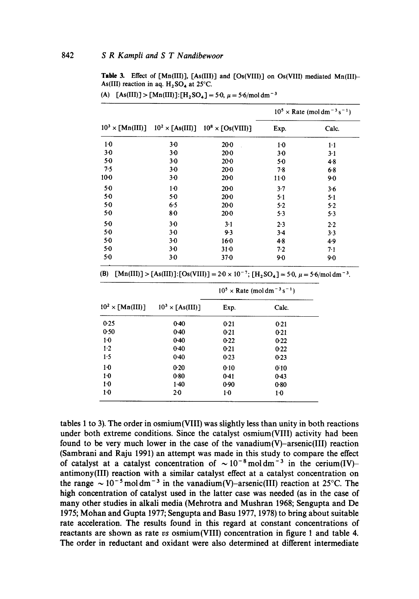**Table 3.** Effect of [Mn(III)], [As(III)] and [Os(VIII)] on Os(VIII) mediated Mn(III)-As(III) reaction in aq.  $H$ <sub>2</sub>SO<sub>4</sub> at 25°C.

|        |       | $10^3 \times \text{[Mn(III)]}$ $10^2 \times \text{[As(III)]}$ $10^8 \times \text{[Os(VIII)]}$ | $10^5 \times$ Rate (mol dm <sup>-3</sup> s <sup>-1</sup> ) |         |
|--------|-------|-----------------------------------------------------------------------------------------------|------------------------------------------------------------|---------|
|        |       |                                                                                               | Exp.                                                       | Calc.   |
| $1-0$  | $3-0$ | $20-0$                                                                                        | $1-0$                                                      | 1·1     |
| $3-0$  | $3-0$ | $20-0$                                                                                        | $3-0$                                                      | $3-1$   |
| $5-0$  | 3.0   | $20-0$                                                                                        | 5.0                                                        | 48      |
| 7.5    | $3-0$ | 20-0                                                                                          | $7-8$                                                      | 6.8     |
| $10-0$ | $3-0$ | $20 - 0$                                                                                      | $11-0$                                                     | 90      |
| $5-0$  | $1-0$ | $20-0$                                                                                        | 3.7                                                        | $3 - 6$ |
| $5-0$  | 5.0   | $20-0$                                                                                        | 5.1                                                        | 5.1     |
| 5.0    | 6.5   | 20.0                                                                                          | 5.2                                                        | 5.2     |
| $5-0$  | 8.0   | $20 - 0$                                                                                      | 5.3                                                        | 5.3     |
| $5-0$  | $3-0$ | $3-1$                                                                                         | 2.3                                                        | $2-2$   |
| $5-0$  | $3-0$ | 9.3                                                                                           | $3-4$                                                      | $3-3$   |
| $5-0$  | 30    | $16-0$                                                                                        | $4-8$                                                      | 4.9     |
| $5-0$  | $3-0$ | 310                                                                                           | 7.2                                                        | 7.1     |
| $5-0$  | 3.0   | $37 - 0$                                                                                      | 9.0                                                        | $9-0$   |

```
(A) [As(III)] > [Mn(III)]:[H_2SO_4] = 5.0, \mu = 5.6/mol dm<sup>-3</sup>
```
(B)  $[Mn(III)] > [As(III)]:[Os(VIII)] = 2.0 \times 10^{-7}$ ;  $[H, SO<sub>4</sub>] = 5.0, \mu = 5.6/mol dm<sup>-3</sup>$ .

|                                            |                         |        | $10^5 \times$ Rate (moldm <sup>-3</sup> s <sup>-1</sup> ) |
|--------------------------------------------|-------------------------|--------|-----------------------------------------------------------|
| $10^2 \times \lceil \text{Mn(III)} \rceil$ | $10^3 \times [As(III)]$ | Exp.   | Calc.                                                     |
| 0.25                                       | 0.40                    | 0.21   | 0.21                                                      |
| 0.50                                       | 0.40                    | 0.21   | 0.21                                                      |
| $1-0$                                      | $0-40$                  | 0.22   | 0.22                                                      |
| $1-2$                                      | $0-40$                  | 0.21   | 0.22                                                      |
| 1.5                                        | 0.40                    | $0-23$ | 0.23                                                      |
| $1-0$                                      | 0.20                    | 0.10   | 0:10                                                      |
| $1-0$                                      | 0.80                    | 0.41   | 0.43                                                      |
| $1-0$                                      | $1-40$                  | 0.90   | 0.80                                                      |
| $1-0$                                      | 2.0                     | $1-0$  | 1.0                                                       |
|                                            |                         |        |                                                           |

**tables 1 to 3). The order in osmium(VIII) was slightly less than unity in both reactions under both extreme conditions. Since the catalyst osmium(VIII) activity had been found to be very much lower in the case of the vanadium(V)-arsenic(III) reaction (Sambrani and Raju 1991) an attempt was made in this study to compare the effect**  of catalyst at a catalyst concentration of  $\sim 10^{-8}$  moldm<sup>-3</sup> in the cerium(IV)**antimony(III) reaction with a similar catalyst effect at a catalyst concentration on**  the range  $\sim 10^{-5}$  mol dm<sup>-3</sup> in the vanadium(V)-arsenic(III) reaction at 25°C. The **high concentration of catalyst used in the latter case was needed (as in the case of many other studies in alkali media (Mehrotra and Mushran 1968; Sengupta and De 1975; Mohan and Gupta 1977; Sengupta and Basu 1977, 1978) to bring about suitable rate acceleration. The results found in this regard at constant concentrations of reactants are shown as rate** *vs* **osmium(VIII) concentration in figure 1 and table 4.**  The order in reductant and oxidant were also determined at different intermediate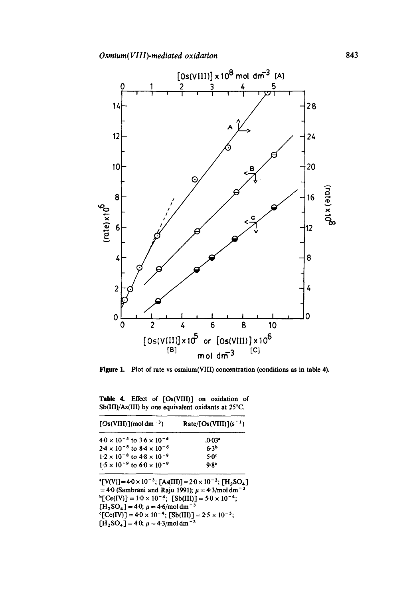

**Figure 1.**  Plot of rate vs osmium(VIII) concentration (conditions as in table 4).

Table 4. Effect of [Os(VIII)] on oxidation of  $Sb(III)/As(III)$  by one equivalent oxidants at 25°C.

| $\lceil Os(VIII) \rceil (mol dm^{-3})$                                                                                                                                                                                                                                                                                                                                                                                                       | $Rate/[Os(VIII)](s^{-1})$ |
|----------------------------------------------------------------------------------------------------------------------------------------------------------------------------------------------------------------------------------------------------------------------------------------------------------------------------------------------------------------------------------------------------------------------------------------------|---------------------------|
| $4.0 \times 10^{-5}$ to $3.6 \times 10^{-4}$                                                                                                                                                                                                                                                                                                                                                                                                 | $.0.03$ <sup>*</sup>      |
| $2.4 \times 10^{-8}$ to $8.4 \times 10^{-8}$                                                                                                                                                                                                                                                                                                                                                                                                 | 6.3 <sup>b</sup>          |
| $1.2 \times 10^{-8}$ to $4.8 \times 10^{-8}$                                                                                                                                                                                                                                                                                                                                                                                                 | 5.0 <sup>c</sup>          |
| $1.5 \times 10^{-9}$ to $6.0 \times 10^{-9}$                                                                                                                                                                                                                                                                                                                                                                                                 | 9.8 <sup>c</sup>          |
| ${\rm [V(V)]} = 4.0 \times 10^{-3}$ ; [As(III)] = $2.0 \times 10^{-2}$ ; [H <sub>2</sub> SO <sub>4</sub> ]<br>= 4.0 (Sambrani and Raju 1991); $\mu = 4.3$ /mol dm <sup>-3</sup><br>${}^{b}[Ce(IV)] = 1.0 \times 10^{-4}; [Sb(III)] = 5.0 \times 10^{-4};$<br>$[H, SO_4] = 4.0$ ; $\mu = 4.6$ /mol dm <sup>-3</sup><br>${}^{c}[Ce(IV)] = 4.0 \times 10^{-4}$ ; $[Sb(III)] = 2.5 \times 10^{-5}$ ;<br>$[H_2SO_4] = 4.0; \mu = 4.3/mol dm^{-3}$ |                           |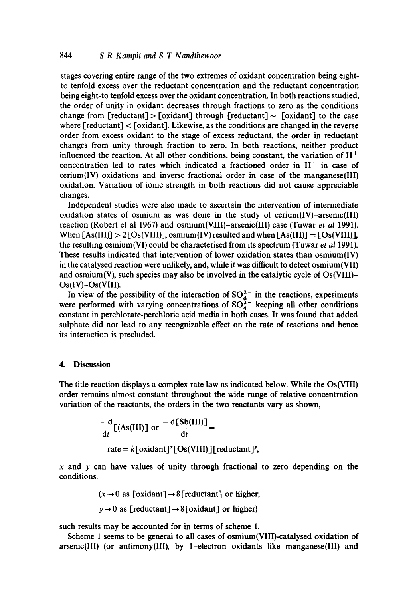stages covering entire range of the two extremes of oxidant concentration being eightto tenfold excess over the reductant concentration and the reductant concentration being eight-to tenfold excess over the oxidant concentration. In both reactions studied, the order of unity in oxidant decreases through fractions to zero as the conditions change from [reductant] > [oxidant] through [reductant]  $\sim$  [oxidant] to the case where  $[reduction] < [oxidant]$ . Likewise, as the conditions are changed in the reverse order from excess oxidant to the stage of excess reductant, the order in reductant changes from unity through fraction to zero. In both reactions, neither product influenced the reaction. At all other conditions, being constant, the variation of  $H<sup>+</sup>$ concentration led to rates which indicated a fractioned order in  $H<sup>+</sup>$  in case of cerium(IV) oxidations and inverse fractional order in case of the manganese(III) oxidation. Variation of ionic strength in both reactions did not cause appreciable changes.

Independent studies were also made to ascertain the intervention of intermediate oxidation states of osmium as was done in the study of cerium(IV)-arsenic(III) reaction (Robert et al 1967) and osmium(VIII)-arsenic(III) case (Tuwar *et al* 1991). When  $[As(III)] > 2[Os(VIII)]$ , osmium(IV) resulted and when  $[As(III)] = [Os(VIII)]$ , the resulting osmium(VI) could be characterised from its spectrum (Tuwar *et al* 1991). These results indicated that intervention of lower oxidation states than osmium(IV) in the catalysed reaction were unlikely, and, while it was difficult to detect osmium(VII) and osmium(V), such species may also be involved in the catalytic cycle of Os(VIII)- Os(IV)-Os(VIII).

In view of the possibility of the interaction of  $SO_4^{2-}$  in the reactions, experiments were performed with varying concentrations of  $SO_4^2$  keeping all other conditions constant in perchlorate-perchloric acid media in both cases. It was found that added sulphate did not lead to any recognizable effect on the rate of reactions and hence its interaction is precluded.

#### **4. Discussion**

The title reaction displays a complex rate law as indicated below. While the Os(VIII) order remains almost constant throughout the wide range of relative concentration variation of the reactants, the orders in the two reactants vary as shown,

$$
\frac{-d}{dt}[(As(III)] \text{ or } \frac{-d[Sb(III)]}{dt} =
$$
  
rate = k[oxidant]<sup>x</sup>[Os(VIII)][reductant]<sup>y</sup>,

 $x$  and  $y$  can have values of unity through fractional to zero depending on the conditions.

$$
(x \rightarrow 0
$$
 as [oxidant]  $\rightarrow$  8[reductant] or higher;

$$
y \rightarrow 0
$$
 as [reductant]  $\rightarrow 8$  [oxidant] or higher)

such results may be accounted for in terms of scheme 1.

Scheme 1 seems to be general to all cases of osmium(VIII)-catalysed oxidation of arsenic(III) (or antimony(III), by 1-electron oxidants like manganese(III) and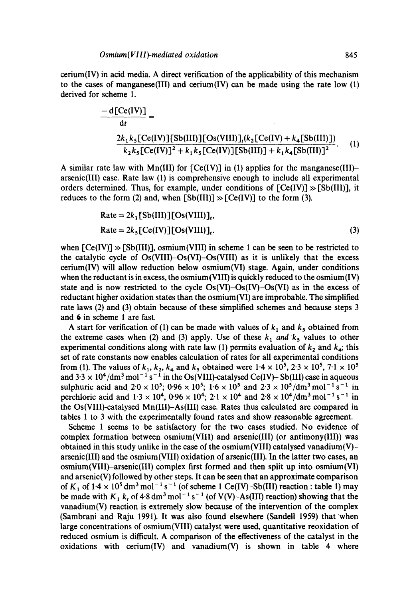$c$ erium(IV) in acid media. A direct verification of the applicability of this mechanism to the cases of manganese(III) and cerium(IV) can be made using the rate low  $(1)$ derived for scheme 1.

$$
\frac{-d[Ce(IV)]}{dt} = \frac{2k_1k_5[Ce(IV)][Sb(III)][Os(VIII)]_t(k_2[Ce(IV) + k_4[Sb(III)])}{k_2k_5[Ce(IV)]^2 + k_1k_5[Ce(IV)][Sb(III)] + k_1k_4[Sb(III)]^2}.
$$
 (1)

A similar rate law with Mn(III) for  $[Ce(IV)]$  in (1) applies for the manganese(III)arsenic(Ill) case. Rate law (1) is comprehensive enough to include all experimental orders determined. Thus, for example, under conditions of  $[Ce(IV)] \gg [Sb(III)]$ , it reduces to the form (2) and, when  $[Sb(III)] \gg [Ce(IV)]$  to the form (3).

$$
Rate = 2k_1[Sb(III)][Os(VIII)],
$$
  
Rate = 2k<sub>5</sub>[Ce(IV)][Os(VIII)], (3)

when  $[Ce(V)] \gg [Sb(H)]$ , osmium(VIII) in scheme 1 can be seen to be restricted to the catalytic cycle of  $Os(VIII)-Os(VII)$ - $Os(VIII)$  as it is unlikely that the excess cerium(IV) will allow reduction below osmium(VI) stage. Again, under conditions when the reductant is in excess, the osmium (VIII) is quickly reduced to the osmium  $(IV)$ state and is now restricted to the cycle  $Os(VI)-Os(VI)$  as in the excess of reductant higher oxidation states than the osmium(VI) are improbable. The simplified rate laws (2) and (3) obtain because of these simplified schemes and because steps 3 and 6 in scheme 1 are fast.

A start for verification of (1) can be made with values of  $k_1$  and  $k_5$  obtained from the extreme cases when (2) and (3) apply. Use of these  $k_1$  and  $k_5$  values to other experimental conditions along with rate law (1) permits evaluation of  $k_2$  and  $k_4$ ; this set of rate constants now enables calculation of rates for all experimental conditions from (1). The values of  $k_1, k_2, k_4$  and  $k_5$  obtained were  $1.4 \times 10^5$ ,  $2.3 \times 10^5$ ,  $7.1 \times 10^5$ and  $3.3 \times 10^4/\text{dm}^3 \text{ mol}^{-1} \text{ s}^{-1}$  in the Os(VIII)-catalysed Ce(IV)- Sb(III) case in aqueous sulphuric acid and  $2.0 \times 10^5$ ;  $0.96 \times 10^5$ ;  $1.6 \times 10^5$  and  $2.3 \times 10^5$ /dm<sup>3</sup> mol<sup>-1</sup> s<sup>-1</sup> in perchloric acid and  $1.3 \times 10^4$ ,  $0.96 \times 10^4$ ;  $2.1 \times 10^4$  and  $2.8 \times 10^4/\text{dm}^3$  mol<sup>-1</sup> s<sup>-1</sup> in the Os(VIII)-catalysed Mn(III)-As(III) case. Rates thus calculated are compared in tables 1 to 3 with the experimentally found rates and show reasonable agreement.

Scheme 1 seems to be satisfactory for the two cases studied. No evidence of complex formation between osmium(VIII) and arsenic(III) (or antimony(III)) was obtained in this study unlike in the case of the osmium(VIII) catalysed vanadium(V)– arsenic(Ill) and the osmium(VIII) oxidation of arsenic(Ill). In the latter two cases, an osmium(VIII)-arsenic(III) complex first formed and then split up into osmium(VI) and arsenic(V) followed by other steps. It can be seen that an approximate comparison of  $K_1$  of  $1.4 \times 10^5$  dm<sup>3</sup> mol<sup>-1</sup> s<sup>-1</sup> (of scheme 1 Ce(IV)-Sb(III) reaction : table 1) may be made with  $K_1 k_r$  of 4.8 dm<sup>3</sup> mol<sup>-1</sup> s<sup>-1</sup> (of V(V)-As(III) reaction) showing that the vanadium(V) reaction is extremely slow because of the intervention of the complex (Sambrani and Raju 1991). It was also found elsewhere (Sandell 1959) that when large concentrations of osmium(VIII) catalyst were used, quantitative reoxidation of reduced osmium is difficult. A comparison of the effectiveness of the catalyst in the oxidations with cerium(IV) and vanadium(V) is shown in table 4 where